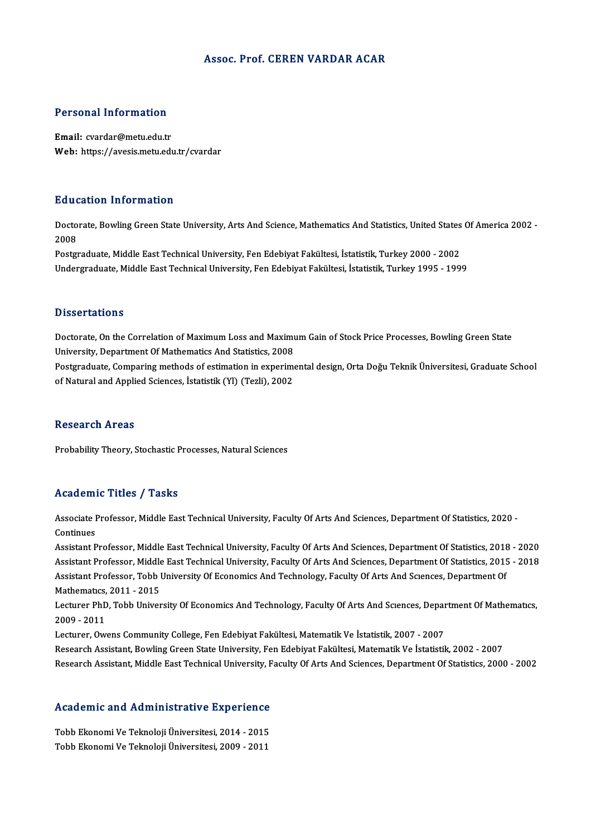### Assoc. Prof. CEREN VARDAR ACAR

# Personal Information

Personal Information<br>Email: cvardar@metu.edu.tr<br>Web: https://avesis.metu.edu Email: cvardar@metu.edu.tr<br>Web: https://avesis.metu.edu.tr/cvardar

### Education Information

**Education Information**<br>Doctorate, Bowling Green State University, Arts And Science, Mathematics And Statistics, United States Of America 2002 -<br>2008 Data<br>Docto<br>2008<br>Poster

2008<br>Postgraduate, Middle East Technical University, Fen Edebiyat Fakültesi, İstatistik, Turkey 2000 - 2002 Undergraduate, Middle East Technical University, Fen Edebiyat Fakültesi, İstatistik, Turkey 1995 - 1999

### **Dissertations**

Doctorate, On the Correlation of Maximum Loss and Maximum Gain of Stock Price Processes, Bowling Green State Dissol tations<br>Doctorate, On the Correlation of Maximum Loss and Maximu<br>University, Department Of Mathematics And Statistics, 2008<br>Restauduate Comparing methods of estimation in eurorime Postgraduate, Comparing methods of estimation in experimental design, Orta Doğu Teknik Üniversitesi, Graduate School<br>of Natural and Applied Sciences, İstatistik (Yl) (Tezli), 2002 University, Department Of Mathematics And Statistics, 2008<br>Postgraduate, Comparing methods of estimation in experim<br>of Natural and Applied Sciences, İstatistik (Yl) (Tezli), 2002

### Research Areas

Probability Theory, Stochastic Processes, Natural Sciences

### Academic Titles / Tasks

Academic Titles / Tasks<br>Associate Professor, Middle East Technical University, Faculty Of Arts And Sciences, Department Of Statistics, 2020 -<br>Continues Associate I<br>Continues<br>Assistant B Associate Professor, Middle East Technical University, Faculty Of Arts And Sciences, Department Of Statistics, 2020 -<br>Continues<br>Assistant Professor, Middle East Technical University, Faculty Of Arts And Sciences, Departmen

Continues<br>Assistant Professor, Middle East Technical University, Faculty Of Arts And Sciences, Department Of Statistics, 2018 - 2020<br>Assistant Professor, Middle East Technical University, Faculty Of Arts And Sciences, Depa Assistant Professor, Middle East Technical University, Faculty Of Arts And Sciences, Department Of Statistics, 2018<br>Assistant Professor, Middle East Technical University, Faculty Of Arts And Sciences, Department Of Statist Assistant Professor, Middle East Technical University, Faculty Of Arts And Sciences, Department Of Statistics, 2015 - 2018<br>Assistant Professor, Tobb University Of Economics And Technology, Faculty Of Arts And Sciences, Dep Assistant Professor, Tobb University Of Economics And Technology, Faculty Of Arts And Sciences, Department Of<br>Mathematics, 2011 - 2015<br>Lecturer PhD, Tobb University Of Economics And Technology, Faculty Of Arts And Sciences

Mathematics,<br>Lecturer PhD<br>2009 - 2011<br>Lecturer Ow Lecturer PhD, Tobb University Of Economics And Technology, Faculty Of Arts And Sciences, Depar<br>2009 - 2011<br>Lecturer, Owens Community College, Fen Edebiyat Fakültesi, Matematik Ve İstatistik, 2007 - 2007<br>Besearsh Assistant, 2009 - 2011<br>Lecturer, Owens Community College, Fen Edebiyat Fakültesi, Matematik Ve İstatistik, 2007 - 2007<br>Research Assistant, Bowling Green State University, Fen Edebiyat Fakültesi, Matematik Ve İstatistik, 2002 - 2007

Research Assistant, Middle East Technical University, Faculty Of Arts And Sciences, Department Of Statistics, 2000 - 2002

# Research Assistant, Middle East Technical University, F.<br>Academic and Administrative Experience

Academic and Administrative Experience<br>Tobb Ekonomi Ve Teknoloji Üniversitesi, 2014 - 2015<br>Tebb Ekonomi Ve Teknoloji Üniversitesi, 2009 - 2011 Tobb Ekonomi Ve Teknoloji Üniversitesi, 2014 - 2015<br>Tobb Ekonomi Ve Teknoloji Üniversitesi. 2009 - 2011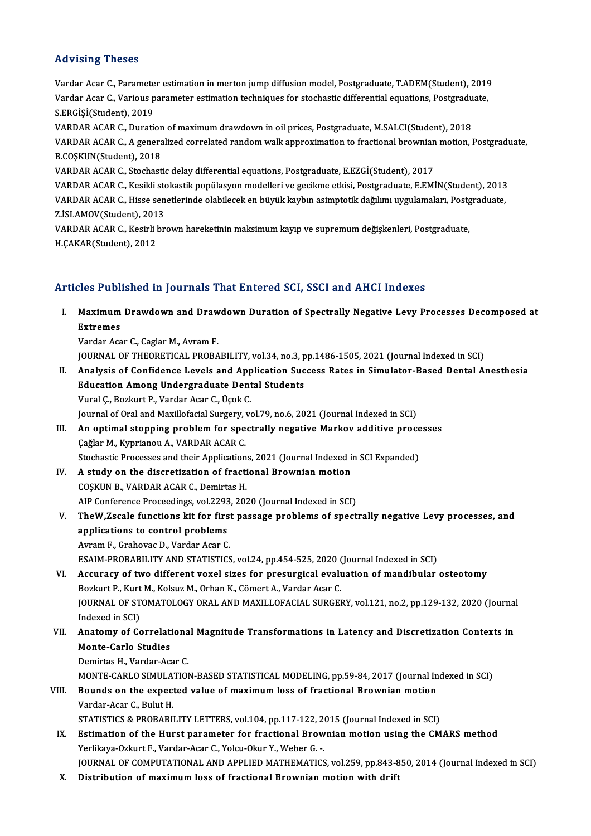### Advising Theses

Advising Theses<br>Vardar Acar C., Parameter estimation in merton jump diffusion model, Postgraduate, T.ADEM(Student), 2019<br>Vardar Acar C. Various parameter estimation techniques for stechastic differential equations. Postgra Vardar Acar C., Parameter estimation in merton jump diffusion model, Postgraduate, T.ADEM(Student), 2019<br>Vardar Acar C., Various parameter estimation techniques for stochastic differential equations, Postgraduate,<br>S.ERCİSİ S.ERGİŞİ(Student), 2019<br>VARDAR ACAR C., Duration of maximum drawdown in oil prices, Postgraduate, M.SALCI(Student), 2018 Vardar Acar C., Various parameter estimation techniques for stochastic differential equations, Postgraduate, S.ERGİŞİ(Student), 2019<br>VARDAR ACAR C., Duration of maximum drawdown in oil prices, Postgraduate, M.SALCI(Student), 2018<br>VARDAR ACAR C., A generalized correlated random walk approximation to fractional brownian motion, Pos VARDAR ACAR C., Duration<br>VARDAR ACAR C., A genera<br>B.COŞKUN(Student), 2018<br>VARDAR ACAR C. Steebeet B.COŞKUN(Student), 2018<br>VARDAR ACAR C., Stochastic delay differential equations, Postgraduate, E.EZGİ(Student), 2017 VARDAR ACAR C., Kesikli stokastik popülasyon modelleri ve gecikme etkisi, Postgraduate, E.EMİN(Student), 2013 VARDAR ACAR C., Stochastic delay differential equations, Postgraduate, E.EZGİ(Student), 2017<br>VARDAR ACAR C., Kesikli stokastik popülasyon modelleri ve gecikme etkisi, Postgraduate, E.EMİN(Student), 2013<br>VARDAR ACAR C., His VARDAR ACAR C., Kesikli sto<br>VARDAR ACAR C., Hisse sen<br>Z.İSLAMOV(Student), 2013<br>VARDAR ACAR C. Kesirli br VARDAR ACAR C., Hisse senetlerinde olabilecek en büyük kaybın asimptotik dağılımı uygulamaları, Postg<br>Z.İSLAMOV(Student), 2013<br>VARDAR ACAR C., Kesirli brown hareketinin maksimum kayıp ve supremum değişkenleri, Postgraduate Z.İSLAMOV(Student), 2013<br>VARDAR ACAR C., Kesirli brown hareketinin maksimum kayıp ve supremum değişkenleri, Postgraduate,<br>H.ÇAKAR(Student), 2012

### Articles Published in Journals That Entered SCI, SSCI and AHCI Indexes

rticles Published in Journals That Entered SCI, SSCI and AHCI Indexes<br>I. Maximum Drawdown and Drawdown Duration of Spectrally Negative Levy Processes Decomposed at<br>Extremes Maximum<br>Extremes<br>Verder Acc

Extremes<br>Vardar Acar C., Caglar M., Avram F. JOURNAL OF THEORETICAL PROBABILITY, vol.34, no.3, pp.1486-1505, 2021 (Journal Indexed in SCI)

II. Analysis of Confidence Levels and Application Success Rates in Simulator-Based Dental Anesthesia JOURNAL OF THEORETICAL PROBABILITY, vol.34, no.3, p<br>Analysis of Confidence Levels and Application Suc<br>Education Among Undergraduate Dental Students<br>Varal C. Berlaut B. Vardan Asan C. Üsek C. Analysis of Confidence Levels and App<br>Education Among Undergraduate Dent<br>Vural Ç., Bozkurt P., Vardar Acar C., Üçok C.<br>Journal of Oral and Mavillafacial Surgery, v. Education Among Undergraduate Dental Students<br>Vural Ç., Bozkurt P., Vardar Acar C., Üçok C.<br>Journal of Oral and Maxillofacial Surgery, vol.79, no.6, 2021 (Journal Indexed in SCI)<br>An entimal stanning problem for apostrally

## Vural Ç., Bozkurt P., Vardar Acar C., Üçok C.<br>Journal of Oral and Maxillofacial Surgery, vol.79, no.6, 2021 (Journal Indexed in SCI)<br>III. An optimal stopping problem for spectrally negative Markov additive processes<br>Coğlar Journal of Oral and Maxillofacial Surgery,<br>An optimal stopping problem for spe<br>Çağlar M., Kyprianou A., VARDAR ACAR C.<br>Stochastic Processes and their Annligation III. An optimal stopping problem for spectrally negative Markov additive processes<br>Cağlar M., Kyprianou A., VARDAR ACAR C.<br>Stochastic Processes and their Applications, 2021 (Journal Indexed in SCI Expanded)

Gağlar M., Kyprianou A., VARDAR ACAR C.<br>Stochastic Processes and their Applications, 2021 (Journal Indexed in<br>IV. A study on the discretization of fractional Brownian motion Stochastic Processes and their Application<br>A study on the discretization of fractic COSKUN B., VARDAR ACAR C., Demirtas H.<br>AIB Conforance Proceedings, vol.2292, 201 A study on the discretization of fractional Brownian motion<br>COSKUN B., VARDAR ACAR C., Demirtas H.<br>AIP Conference Proceedings, vol.2293, 2020 (Journal Indexed in SCI)<br>TheW Zesele functions kit for first passess problems of

COSKUN B., VARDAR ACAR C., Demirtas H.<br>AIP Conference Proceedings, vol.2293, 2020 (Journal Indexed in SCI)<br>V. TheW,Zscale functions kit for first passage problems of spectrally negative Levy processes, and<br>annisations to c AIP Conference Proceedings, vol.2293<br>The W, Zscale functions kit for firs<br>applications to control problems<br>Ayram E. Craboyas D. Vardan Asar G TheW,Zscale functions kit for firs<br>applications to control problems<br>Avram F., Grahovac D., Vardar Acar C.<br>ESAIM PROPAPU ITV AND STATISTICS applications to control problems<br>Avram F., Grahovac D., Vardar Acar C.<br>ESAIM-PROBABILITY AND STATISTICS, vol.24, pp.454-525, 2020 (Journal Indexed in SCI)<br>Accuracy of two different vexel sizes for presurgical evoluation of

Avram F., Grahovac D., Vardar Acar C.<br>ESAIM-PROBABILITY AND STATISTICS, vol.24, pp.454-525, 2020 (Journal Indexed in SCI)<br>VI. Accuracy of two different voxel sizes for presurgical evaluation of mandibular osteotomy<br>Bozkurt ESAIM-PROBABILITY AND STATISTICS, vol.24, pp.454-525, 2020 (<br>Accuracy of two different voxel sizes for presurgical evaluation<br>Bozkurt P., Kurt M., Kolsuz M., Orhan K., Cömert A., Vardar Acar C.<br>JOUPMAL OF STOMATOLOCY ORAL Accuracy of two different voxel sizes for presurgical evaluation of mandibular osteotomy<br>Bozkurt P., Kurt M., Kolsuz M., Orhan K., Cömert A., Vardar Acar C.<br>JOURNAL OF STOMATOLOGY ORAL AND MAXILLOFACIAL SURGERY, vol.121, n Bozkurt P., Kurt<br>JOURNAL OF ST<br>Indexed in SCI) JOURNAL OF STOMATOLOGY ORAL AND MAXILLOFACIAL SURGERY, vol.121, no.2, pp.129-132, 2020 (Journal Indexed in SCI)<br>VII. Anatomy of Correlational Magnitude Transformations in Latency and Discretization Contexts in<br>Monte Contex

# Indexed in SCI)<br>Anatomy of Correlati<br>Monte-Carlo Studies<br>Domirtes H. Verder Acc Anatomy of Correlationa<br>Monte-Carlo Studies<br>Demirtas H., Vardar-Acar C.<br>MONTE CARLO SIMIH ATIOI

Monte-Carlo Studies<br>Demirtas H., Vardar-Acar C.<br>MONTE-CARLO SIMULATION-BASED STATISTICAL MODELING, pp.59-84, 2017 (Journal Indexed in SCI)<br>Bounds on the expected value of movimum loss of fractional Brownian motion

## Demirtas H., Vardar-Acar C.<br>MONTE-CARLO SIMULATION-BASED STATISTICAL MODELING, pp.59-84, 2017 (Journal Ir<br>VIII. Bounds on the expected value of maximum loss of fractional Brownian motion<br>Vardar-Acar C., Bulut H. MONTE-CARLO SIMULA<br>**Bounds on the expect<br>Vardar-Acar C., Bulut H.<br>STATISTICS & BROPAPII** Bounds on the expected value of maximum loss of fractional Brownian motion<br>Vardar-Acar C., Bulut H.<br>STATISTICS & PROBABILITY LETTERS, vol.104, pp.117-122, 2015 (Journal Indexed in SCI)<br>Estimation of the Hurst perameter for

- IX. Estimation of the Hurst parameter for fractional Brownian motion using the CMARS method Yerlikaya-Ozkurt F., Vardar-Acar C., Yolcu-Okur Y., Weber G. -STATISTICS & PROBABILITY LETTERS, vol.104, pp.117-122, 20<br>Estimation of the Hurst parameter for fractional Brow<br>Yerlikaya-Ozkurt F., Vardar-Acar C., Yolcu-Okur Y., Weber G. -.<br>JOUPMAL OF COMBUTATIONAL AND APPLIED MATHEMATI JOURNAL OF COMPUTATIONAL AND APPLIED MATHEMATICS, vol.259, pp.843-850, 2014 (Journal Indexed in SCI)
- X. Distribution of maximum loss of fractional Brownian motion with drift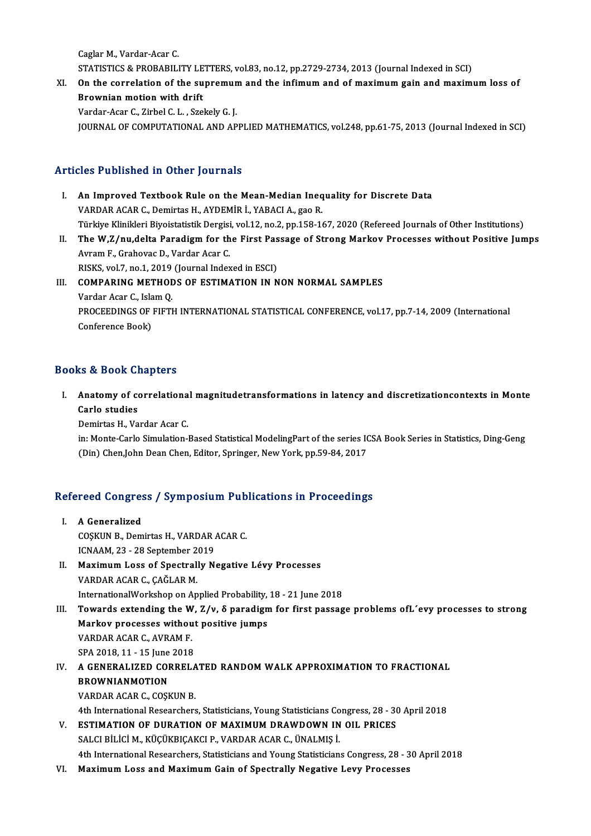Caglar M., Vardar-Acar C. Caglar M., Vardar-Acar C.<br>STATISTICS & PROBABILITY LETTERS, vol.83, no.12, pp.2729-2734, 2013 (Journal Indexed in SCI)<br>On the correlation of the sunnamum and the infimum and of maximum gain and maximu

XI. On the correlation of the supremum and the infimum and of maximum gain and maximum loss of<br>Brownian motion with drift STATISTICS & PROBABILITY LE<br>On the correlation of the su<br>Brownian motion with drift<br>Varder Acer G. Zirbel G.J., STO Vardar-Acar C., Zirbel C. L., Szekely G. J. JOURNAL OF COMPUTATIONAL AND APPLIED MATHEMATICS, vol.248, pp.61-75, 2013 (Journal Indexed in SCI)

### Articles Published in Other Journals

- I. An Improved Textbook Rule on the Mean-Median Inequality for Discrete Data VARDARACARC.,DemirtasH.,AYDEMİRİ.,YABACIA.,gaoR. An Improved Textbook Rule on the Mean-Median Inequality for Discrete Data<br>VARDAR ACAR C., Demirtas H., AYDEMİR İ., YABACI A., gao R.<br>Türkiye Klinikleri Biyoistatistik Dergisi, vol.12, no.2, pp.158-167, 2020 (Refereed Journ VARDAR ACAR C., Demirtas H., AYDEMİR İ., YABACI A., gao R.<br>Türkiye Klinikleri Biyoistatistik Dergisi, vol.12, no.2, pp.158-167, 2020 (Refereed Journals of Other Institutions)<br>II. The W,Z/nu,delta Paradigm for the First Pas
- Türkiye Klinikleri Biyoistatistik Dergisi<br>The W,Z/nu,delta Paradigm for th<br>Avram F., Grahovac D., Vardar Acar C.<br>BISKS vol 7, no 1, 2010 (Journal Index The W,Z/nu,delta Paradigm for the First Pas<br>Avram F., Grahovac D., Vardar Acar C.<br>RISKS, vol.7, no.1, 2019 (Journal Indexed in ESCI)<br>COMBARING METHODS OF ESTIMATION IN N Avram F., Grahovac D., Vardar Acar C.<br>RISKS, vol.7, no.1, 2019 (Journal Indexed in ESCI)<br>III. COMPARING METHODS OF ESTIMATION IN NON NORMAL SAMPLES<br>Vardar Acar G. Jalam O.

## RISKS, vol.7, no.1, 2019<br>COMPARING METHOI<br>Vardar Acar C., Islam Q.<br>PROCEEDINGS OF FIETI PROCEEDINGS OF FIFTH INTERNATIONAL STATISTICAL CONFERENCE, vol.17, pp.7-14, 2009 (International Conference Book) Vardar Acar C, Islam Q

### Books&Book Chapters

ooks & Book Chapters<br>I. Anatomy of correlational magnitudetransformations in latency and discretizationcontexts in Monte<br>Carle studies Extractory of contractory<br>Carlo studies<br>Domintac H. Vo Anatomy of correlationa<br>Carlo studies<br>Demirtas H., Vardar Acar C.<br>in: Monte Carlo Simulation

Carlo studies<br>Demirtas H., Vardar Acar C.<br>in: Monte-Carlo Simulation-Based Statistical ModelingPart of the series ICSA Book Series in Statistics, Ding-Geng<br>(Din) Chan John Dean Chan, Editor, Springer, New York, pp 59,94,20 Demirtas H., Vardar Acar C.<br>in: Monte-Carlo Simulation-Based Statistical ModelingPart of the series I(<br>(Din) Chen,John Dean Chen, Editor, Springer, New York, pp.59-84, 2017

# (Din) Chen,jonn Dean Chen, Editor, Springer, New York, pp.39-84, 2017<br>Refereed Congress / Symposium Publications in Proceedings

- efereed Congres<br>I. A Generalized<br>COSKUN B. Dom A Generalized<br>A Generalized<br>COSKUN B., Demirtas H., VARDAR ACAR C. A Generalized<br>COŞKUN B., Demirtas H., VARDAR<br>ICNAAM, 23 - 28 September 2019<br>Maximum Loss of Snostrally N. ICNAAM, 23 - 28 September 2019<br>II. Maximum Loss of Spectrally Negative Lévy Processes
- VARDAR ACAR C., ÇAĞLAR M. InternationalWorkshop on Applied Probability, 18 - 21 June 2018
- VARDAR ACAR C., ÇAĞLAR M.<br>InternationalWorkshop on Applied Probability, 18 21 June 2018<br>III. Towards extending the W, Ζ/ν, δ paradigm for first passage problems ofL´evy processes to strong<br>Markov processes without p InternationalWorkshop on Applied Probability,<br>Towards extending the W, Z/v, δ paradign<br>Markov processes without positive jumps<br>VAPDAR ACAR C, AVRAM F Towards extending the W<br>Markov processes withou<br>VARDAR ACAR C., AVRAM F.<br>SPA 2018 11, 15 June 2018 Markov processes without positive jumps<br>VARDAR ACAR C., AVRAM F.<br>SPA 2018, 11 - 15 June 2018 VARDAR ACAR C., AVRAM F.<br>SPA 2018, 11 - 15 June 2018<br>IV. A GENERALIZED CORRELATED RANDOM WALK APPROXIMATION TO FRACTIONAL<br>PROWNIANMOTION

## SPA 2018, 11 - 15 June<br>A GENERALIZED COI<br>BROWNIANMOTION A GENERALIZED CORRELA<br>BROWNIANMOTION<br>VARDAR ACAR C., COŞKUN B.<br>4th International Bessenshers BROWNIANMOTION<br>VARDAR ACAR C., COŞKUN B.<br>4th International Researchers, Statisticians, Young Statisticians Congress, 28 - 30 April 2018<br>ESTIMATION OF DURATION OF MAXIMUM DRAWDOWN IN OU, PRICES

- VARDAR ACAR C., COȘKUN B.<br>4th International Researchers, Statisticians, Young Statisticians Congress, 28 30<br>5 V. ESTIMATION OF DURATION OF MAXIMUM DRAWDOWN IN OIL PRICES 4th International Researchers, Statisticians, Young Statisticians Contribution of DURATION OF MAXIMUM DRAWDOWN IN SALCI BILICI M., KÜÇÜKBIÇAKCI P., VARDAR ACAR C., ÜNALMIŞ İ. ESTIMATION OF DURATION OF MAXIMUM DRAWDOWN IN OIL PRICES<br>SALCI BİLİCİ M., KÜÇÜKBIÇAKCI P., VARDAR ACAR C., ÜNALMIŞ İ.<br>4th International Researchers, Statisticians and Young Statisticians Congress, 28 - 30 April 2018<br>Maximu SALCI BİLİCİ M., KÜÇÜKBIÇAKCI P., VARDAR ACAR C., ÜNALMIŞ İ.<br>4th International Researchers, Statisticians and Young Statisticians Congress, 28 - 3<br>1. Maximum Loss and Maximum Gain of Spectrally Negative Levy Processes
-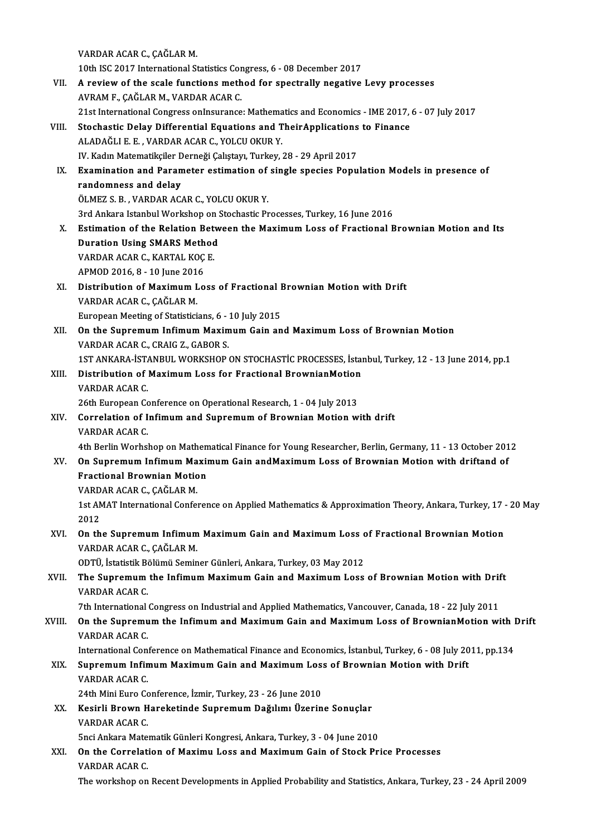VARDARACARC.,ÇAĞLARM. 10th ISC 2017 International Statistics Congress, 6 - 08 December 2017 VARDAR ACAR C., ÇAĞLAR M.<br>10th ISC 2017 International Statistics Congress, 6 - 08 December 2017<br>VII. A review of the scale functions method for spectrally negative Levy processes<br>AVRAM E CAČLAR M VARDAR ACAR C 10th ISC 2017 International Statistics Cor<br>A review of the scale functions meth<br>AVRAM F., ÇAĞLAR M., VARDAR ACAR C. AVRAM F., ÇAĞLAR M., VARDAR ACAR C.<br>21st International Congress onInsurance: Mathematics and Economics - IME 2017, 6 - 07 July 2017 AVRAM F., ÇAĞLAR M., VARDAR ACAR C.<br>21st International Congress onInsurance: Mathematics and Economics - IME 2017,<br>VIII. Stochastic Delay Differential Equations and TheirApplications to Finance<br>ALADAČLLE E. VARDAR ACAR C. ALADAĞLI E. E. , VARDAR ACAR C., YOLCU OKUR Y.<br>IV. Kadın Matematikçiler Derneği Çalıştayı, Turkey, 28 - 29 April 2017 Stochastic Delay Differential Equations and TheirApplications<br>ALADAĞLI E. E. , VARDAR ACAR C., YOLCU OKUR Y.<br>IV. Kadın Matematikçiler Derneği Çalıştayı, Turkey, 28 - 29 April 2017<br>Evamination and Barametar estimation of si ALADAĞLI E. E. , VARDAR ACAR C., YOLCU OKUR Y.<br>IV. Kadın Matematikçiler Derneği Çalıştayı, Turkey, 28 - 29 April 2017<br>IX. Examination and Parameter estimation of single species Population Models in presence of<br>rendemness a IV. Kadın Matematikçiler D<br><mark>Examination and Paran</mark><br>randomness and delay<br>ÖLMEZ S. B. VABDAB AC Examination and Parameter estimation of<br>randomness and delay<br>ÖLMEZ S.B., VARDAR ACAR C., YOLCU OKUR Y.<br>2rd Ankara Istanbul Warkshap on Stachastic Pr randomness and delay<br>ÖLMEZ S. B. , VARDAR ACAR C., YOLCU OKUR Y.<br>3rd Ankara Istanbul Workshop on Stochastic Processes, Turkey, 16 June 2016 X. Estimation of the Relation Between the Maximum Loss of Fractional Brownian Motion and Its 3rd Ankara Istanbul Workshop on S<br>Estimation of the Relation Betw<br>Duration Using SMARS Method<br>VAPDAR AGAR G KARTAL KOGE Estimation of the Relation Bet<br>Duration Using SMARS Method<br>VARDAR ACAR C., KARTAL KOÇ E.<br>APMOD 2016 8 - 10 June 2016 Duration Using SMARS Meth<br>VARDAR ACAR C., KARTAL KOÇ<br>APMOD 2016, 8 - 10 June 2016<br>Distribution of Maximum Lo VARDAR ACAR C., KARTAL KOÇ E.<br>APMOD 2016, 8 - 10 June 2016<br>XI. Distribution of Maximum Loss of Fractional Brownian Motion with Drift<br>VARDAR ACAR C. CAČI AR M APMOD 2016, 8 - 10 June 201<br>Distribution of Maximum L<br>VARDAR ACAR C., ÇAĞLAR M.<br>European Mesting of Statistici Distribution of Maximum Loss of Fractional I<br>VARDAR ACAR C., ÇAĞLAR M.<br>European Meeting of Statisticians, 6 - 10 July 2015<br>On the Sunnemum Infimum Meximum Cain an VARDAR ACAR C., ÇAĞLAR M.<br>European Meeting of Statisticians, 6 - 10 July 2015<br>XII. On the Supremum Infimum Maximum Gain and Maximum Loss of Brownian Motion<br>VARDAR ACAR G. CRAIC 7, GAROR S European Meeting of Statisticians, 6 -<br>On the Supremum Infimum Maxim<br>VARDAR ACAR C., CRAIG Z., GABOR S.<br>1ST ANKARA İSTANBUL WORKSHOR On the Supremum Infimum Maximum Gain and Maximum Loss of Brownian Motion<br>VARDAR ACAR C., CRAIG Z., GABOR S.<br>1ST ANKARA-İSTANBUL WORKSHOP ON STOCHASTİC PROCESSES, İstanbul, Turkey, 12 - 13 June 2014, pp.1<br>Distribution of Ma VARDAR ACAR C., CRAIG Z., GABOR S.<br>1ST ANKARA-İSTANBUL WORKSHOP ON STOCHASTİC PROCESSES, İsta<br>XIII. Distribution of Maximum Loss for Fractional BrownianMotion<br>VARDAR ACAR C 1ST ANKARA-IST<br>Distribution of<br>VARDAR ACAR C.<br>26th European Ce Distribution of Maximum Loss for Fractional BrownianMotion<br>VARDAR ACAR C.<br>26th European Conference on Operational Research, 1 - 04 July 2013<br>Correlation of Infimum and Sunromum of Brownian Motion w VARDAR ACAR C.<br>26th European Conference on Operational Research, 1 - 04 July 2013<br>XIV. Correlation of Infimum and Supremum of Brownian Motion with drift<br>VARDAR ACAR C. 26th European Conference on Operational Research, 1 - 04 July 2013 4th Berlin Worhshop on Mathematical Finance for Young Researcher, Berlin, Germany, 11 - 13 October 2012 VARDAR ACAR C.<br>4th Berlin Worhshop on Mathematical Finance for Young Researcher, Berlin, Germany, 11 - 13 October 201<br>XV. On Supremum Infimum Maximum Gain andMaximum Loss of Brownian Motion with driftand of 4th Berlin Worhshop on Mathem<br>On Supremum Infimum Maxi<br>Fractional Brownian Motion<br>WAPDAR AGAR G GAČLAR M On Supremum Infimum Ma<br>Fractional Brownian Motio<br>VARDAR ACAR C., ÇAĞLAR M.<br>1st AMAT International Cenfe Fractional Brownian Motion<br>VARDAR ACAR C., ÇAĞLAR M.<br>1st AMAT International Conference on Applied Mathematics & Approximation Theory, Ankara, Turkey, 17 - 20 May<br>2012 VARD<br>1st AM<br>2012<br>On th 1st AMAT International Conference on Applied Mathematics & Approximation Theory, Ankara, Turkey, 17 -<br>2012<br>XVI. On the Supremum Infimum Maximum Gain and Maximum Loss of Fractional Brownian Motion 2012<br>XVI. On the Supremum Infimum Maximum Gain and Maximum Loss of Fractional Brownian Motion<br>VARDAR ACAR C., ÇAĞLAR M. On the Supremum Infimum Maximum Gain and Maximum Loss c<br>VARDAR ACAR C., ÇAĞLAR M.<br>ODTÜ, İstatistik Bölümü Seminer Günleri, Ankara, Turkey, 03 May 2012<br>The Sunnamum the Infimum Mayimum Gain and Mayimum Loss. VARDAR ACAR C., ÇAĞLAR M.<br>ODTÜ, İstatistik Bölümü Seminer Günleri, Ankara, Turkey, 03 May 2012<br>XVII. The Supremum the Infimum Maximum Gain and Maximum Loss of Brownian Motion with Drift<br>VARDAR ACAR C ODTÜ, İstatistik Bo<br>The Supremum<br>VARDAR ACAR C.<br>7th International The Supremum the Infimum Maximum Gain and Maximum Loss of Brownian Motion with Drif<br>VARDAR ACAR C.<br>7th International Congress on Industrial and Applied Mathematics, Vancouver, Canada, 18 - 22 July 2011<br>On the Supremum the VARDAR ACAR C.<br>7th International Congress on Industrial and Applied Mathematics, Vancouver, Canada, 18 - 22 July 2011<br>XVIII. 0n the Supremum the Infimum and Maximum Gain and Maximum Loss of BrownianMotion with Drift<br>VARDAR 7th International Congress on Industrial and Applied Mathematics, Vancouver, Canada, 18 - 22 July 2011 On the Supremum the Infimum and Maximum Gain and Maximum Loss of BrownianMotion with I<br>VARDAR ACAR C.<br>International Conference on Mathematical Finance and Economics, İstanbul, Turkey, 6 - 08 July 2011, pp.134<br>Supremum Infi VARDAR ACAR C.<br>International Conference on Mathematical Finance and Economics, İstanbul, Turkey, 6 - 08 July 20<br>XIX. Supremum Infimum Maximum Gain and Maximum Loss of Brownian Motion with Drift<br>VARDAR ACAR C International Con<br>Supremum Infin<br>VARDAR ACAR C.<br>24th Mini Euro Co Supremum Infimum Maximum Gain and Maximum Los:<br>VARDAR ACAR C.<br>24th Mini Euro Conference, İzmir, Turkey, 23 - 26 June 2010<br>Kesirli Provun Hanskatinde Sunromum Dağılımı Üzerin VARDAR ACAR C.<br>24th Mini Euro Conference, İzmir, Turkey, 23 - 26 June 2010<br>XX. Kesirli Brown Hareketinde Supremum Dağılımı Üzerine Sonuçlar<br>VARDAR ACAR C. 24th Mini Euro Conference, İzmir, Turkey, 23 - 26 June 2010 Kesirli Brown Hareketinde Supremum Dağılımı Üzerine Sonuçlar<br>VARDAR ACAR C.<br>5nci Ankara Matematik Günleri Kongresi, Ankara, Turkey, 3 - 04 June 2010<br>On the Connelation of Mayimu Less and Mayimum Cain of Stock Pri XXI. On the Correlation of Maximu Loss and Maximum Gain of Stock Price Processes<br>VARDAR ACAR C. **Snci Ankara Mate:<br>On the Correlat:<br>VARDAR ACAR C.<br>The workphan on** 

The workshop on Recent Developments in Applied Probability and Statistics, Ankara, Turkey, 23 - 24 April 2009